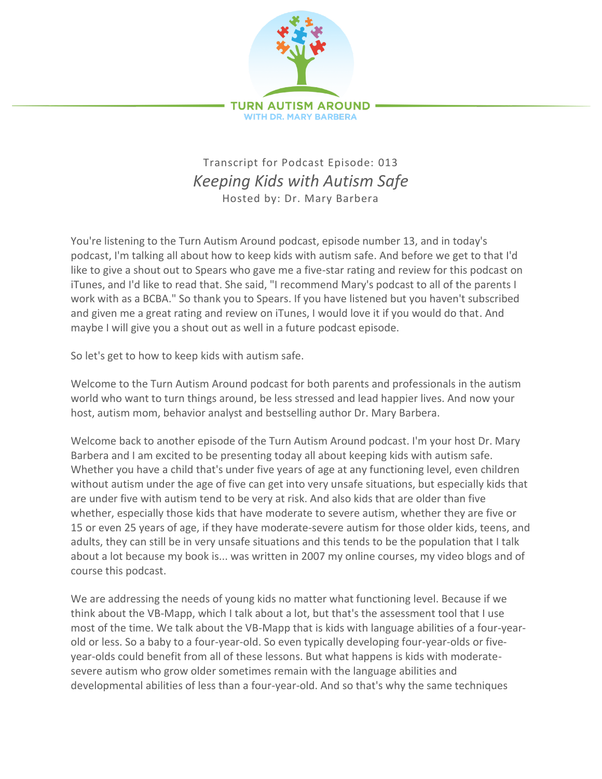

## Transcript for Podcast Episode: 013 *Keeping Kids with Autism Safe* Hosted by: Dr. Mary Barbera

You're listening to the Turn Autism Around podcast, episode number 13, and in today's podcast, I'm talking all about how to keep kids with autism safe. And before we get to that I'd like to give a shout out to Spears who gave me a five-star rating and review for this podcast on iTunes, and I'd like to read that. She said, "I recommend Mary's podcast to all of the parents I work with as a BCBA." So thank you to Spears. If you have listened but you haven't subscribed and given me a great rating and review on iTunes, I would love it if you would do that. And maybe I will give you a shout out as well in a future podcast episode.

So let's get to how to keep kids with autism safe.

Welcome to the Turn Autism Around podcast for both parents and professionals in the autism world who want to turn things around, be less stressed and lead happier lives. And now your host, autism mom, behavior analyst and bestselling author Dr. Mary Barbera.

Welcome back to another episode of the Turn Autism Around podcast. I'm your host Dr. Mary Barbera and I am excited to be presenting today all about keeping kids with autism safe. Whether you have a child that's under five years of age at any functioning level, even children without autism under the age of five can get into very unsafe situations, but especially kids that are under five with autism tend to be very at risk. And also kids that are older than five whether, especially those kids that have moderate to severe autism, whether they are five or 15 or even 25 years of age, if they have moderate-severe autism for those older kids, teens, and adults, they can still be in very unsafe situations and this tends to be the population that I talk about a lot because my book is... was written in 2007 my online courses, my video blogs and of course this podcast.

We are addressing the needs of young kids no matter what functioning level. Because if we think about the VB-Mapp, which I talk about a lot, but that's the assessment tool that I use most of the time. We talk about the VB-Mapp that is kids with language abilities of a four-yearold or less. So a baby to a four-year-old. So even typically developing four-year-olds or fiveyear-olds could benefit from all of these lessons. But what happens is kids with moderatesevere autism who grow older sometimes remain with the language abilities and developmental abilities of less than a four-year-old. And so that's why the same techniques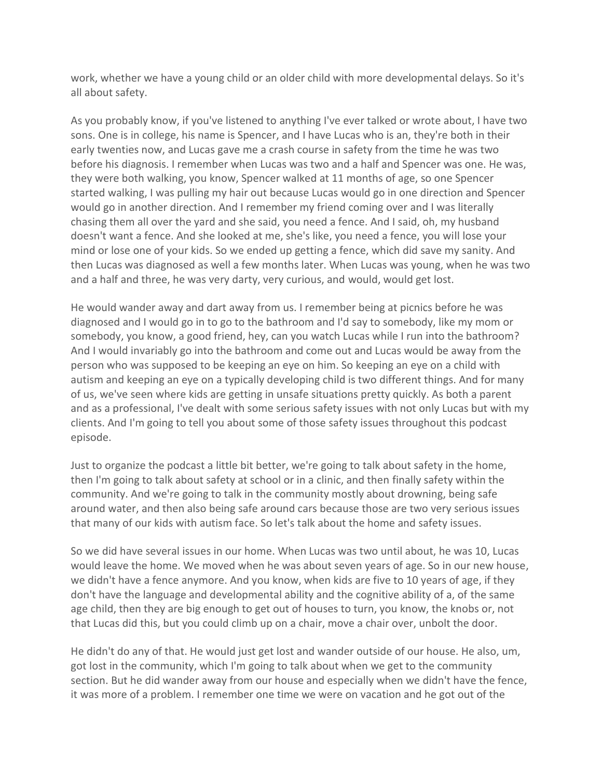work, whether we have a young child or an older child with more developmental delays. So it's all about safety.

As you probably know, if you've listened to anything I've ever talked or wrote about, I have two sons. One is in college, his name is Spencer, and I have Lucas who is an, they're both in their early twenties now, and Lucas gave me a crash course in safety from the time he was two before his diagnosis. I remember when Lucas was two and a half and Spencer was one. He was, they were both walking, you know, Spencer walked at 11 months of age, so one Spencer started walking, I was pulling my hair out because Lucas would go in one direction and Spencer would go in another direction. And I remember my friend coming over and I was literally chasing them all over the yard and she said, you need a fence. And I said, oh, my husband doesn't want a fence. And she looked at me, she's like, you need a fence, you will lose your mind or lose one of your kids. So we ended up getting a fence, which did save my sanity. And then Lucas was diagnosed as well a few months later. When Lucas was young, when he was two and a half and three, he was very darty, very curious, and would, would get lost.

He would wander away and dart away from us. I remember being at picnics before he was diagnosed and I would go in to go to the bathroom and I'd say to somebody, like my mom or somebody, you know, a good friend, hey, can you watch Lucas while I run into the bathroom? And I would invariably go into the bathroom and come out and Lucas would be away from the person who was supposed to be keeping an eye on him. So keeping an eye on a child with autism and keeping an eye on a typically developing child is two different things. And for many of us, we've seen where kids are getting in unsafe situations pretty quickly. As both a parent and as a professional, I've dealt with some serious safety issues with not only Lucas but with my clients. And I'm going to tell you about some of those safety issues throughout this podcast episode.

Just to organize the podcast a little bit better, we're going to talk about safety in the home, then I'm going to talk about safety at school or in a clinic, and then finally safety within the community. And we're going to talk in the community mostly about drowning, being safe around water, and then also being safe around cars because those are two very serious issues that many of our kids with autism face. So let's talk about the home and safety issues.

So we did have several issues in our home. When Lucas was two until about, he was 10, Lucas would leave the home. We moved when he was about seven years of age. So in our new house, we didn't have a fence anymore. And you know, when kids are five to 10 years of age, if they don't have the language and developmental ability and the cognitive ability of a, of the same age child, then they are big enough to get out of houses to turn, you know, the knobs or, not that Lucas did this, but you could climb up on a chair, move a chair over, unbolt the door.

He didn't do any of that. He would just get lost and wander outside of our house. He also, um, got lost in the community, which I'm going to talk about when we get to the community section. But he did wander away from our house and especially when we didn't have the fence, it was more of a problem. I remember one time we were on vacation and he got out of the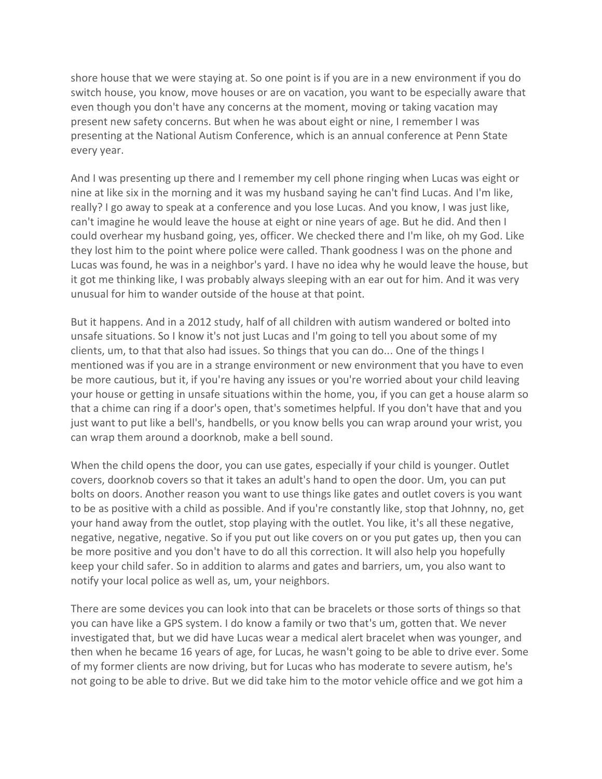shore house that we were staying at. So one point is if you are in a new environment if you do switch house, you know, move houses or are on vacation, you want to be especially aware that even though you don't have any concerns at the moment, moving or taking vacation may present new safety concerns. But when he was about eight or nine, I remember I was presenting at the National Autism Conference, which is an annual conference at Penn State every year.

And I was presenting up there and I remember my cell phone ringing when Lucas was eight or nine at like six in the morning and it was my husband saying he can't find Lucas. And I'm like, really? I go away to speak at a conference and you lose Lucas. And you know, I was just like, can't imagine he would leave the house at eight or nine years of age. But he did. And then I could overhear my husband going, yes, officer. We checked there and I'm like, oh my God. Like they lost him to the point where police were called. Thank goodness I was on the phone and Lucas was found, he was in a neighbor's yard. I have no idea why he would leave the house, but it got me thinking like, I was probably always sleeping with an ear out for him. And it was very unusual for him to wander outside of the house at that point.

But it happens. And in a 2012 study, half of all children with autism wandered or bolted into unsafe situations. So I know it's not just Lucas and I'm going to tell you about some of my clients, um, to that that also had issues. So things that you can do... One of the things I mentioned was if you are in a strange environment or new environment that you have to even be more cautious, but it, if you're having any issues or you're worried about your child leaving your house or getting in unsafe situations within the home, you, if you can get a house alarm so that a chime can ring if a door's open, that's sometimes helpful. If you don't have that and you just want to put like a bell's, handbells, or you know bells you can wrap around your wrist, you can wrap them around a doorknob, make a bell sound.

When the child opens the door, you can use gates, especially if your child is younger. Outlet covers, doorknob covers so that it takes an adult's hand to open the door. Um, you can put bolts on doors. Another reason you want to use things like gates and outlet covers is you want to be as positive with a child as possible. And if you're constantly like, stop that Johnny, no, get your hand away from the outlet, stop playing with the outlet. You like, it's all these negative, negative, negative, negative. So if you put out like covers on or you put gates up, then you can be more positive and you don't have to do all this correction. It will also help you hopefully keep your child safer. So in addition to alarms and gates and barriers, um, you also want to notify your local police as well as, um, your neighbors.

There are some devices you can look into that can be bracelets or those sorts of things so that you can have like a GPS system. I do know a family or two that's um, gotten that. We never investigated that, but we did have Lucas wear a medical alert bracelet when was younger, and then when he became 16 years of age, for Lucas, he wasn't going to be able to drive ever. Some of my former clients are now driving, but for Lucas who has moderate to severe autism, he's not going to be able to drive. But we did take him to the motor vehicle office and we got him a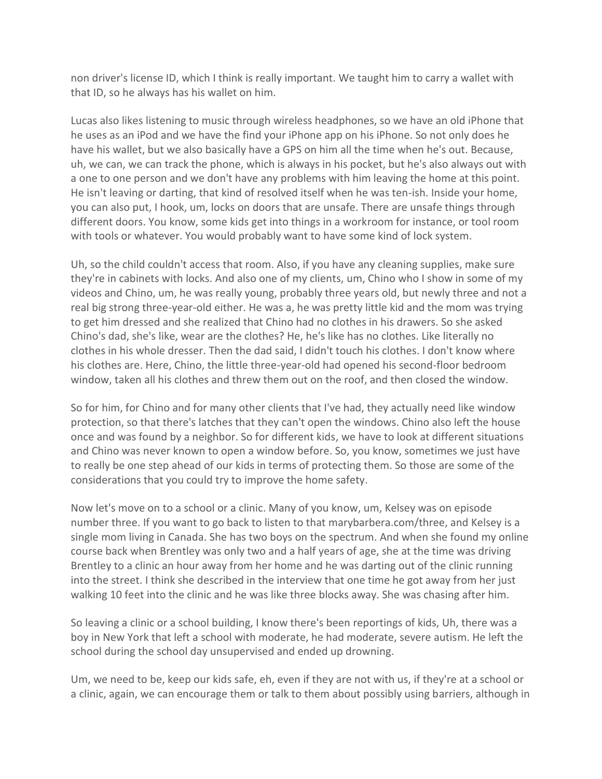non driver's license ID, which I think is really important. We taught him to carry a wallet with that ID, so he always has his wallet on him.

Lucas also likes listening to music through wireless headphones, so we have an old iPhone that he uses as an iPod and we have the find your iPhone app on his iPhone. So not only does he have his wallet, but we also basically have a GPS on him all the time when he's out. Because, uh, we can, we can track the phone, which is always in his pocket, but he's also always out with a one to one person and we don't have any problems with him leaving the home at this point. He isn't leaving or darting, that kind of resolved itself when he was ten-ish. Inside your home, you can also put, I hook, um, locks on doors that are unsafe. There are unsafe things through different doors. You know, some kids get into things in a workroom for instance, or tool room with tools or whatever. You would probably want to have some kind of lock system.

Uh, so the child couldn't access that room. Also, if you have any cleaning supplies, make sure they're in cabinets with locks. And also one of my clients, um, Chino who I show in some of my videos and Chino, um, he was really young, probably three years old, but newly three and not a real big strong three-year-old either. He was a, he was pretty little kid and the mom was trying to get him dressed and she realized that Chino had no clothes in his drawers. So she asked Chino's dad, she's like, wear are the clothes? He, he's like has no clothes. Like literally no clothes in his whole dresser. Then the dad said, I didn't touch his clothes. I don't know where his clothes are. Here, Chino, the little three-year-old had opened his second-floor bedroom window, taken all his clothes and threw them out on the roof, and then closed the window.

So for him, for Chino and for many other clients that I've had, they actually need like window protection, so that there's latches that they can't open the windows. Chino also left the house once and was found by a neighbor. So for different kids, we have to look at different situations and Chino was never known to open a window before. So, you know, sometimes we just have to really be one step ahead of our kids in terms of protecting them. So those are some of the considerations that you could try to improve the home safety.

Now let's move on to a school or a clinic. Many of you know, um, Kelsey was on episode number three. If you want to go back to listen to that marybarbera.com/three, and Kelsey is a single mom living in Canada. She has two boys on the spectrum. And when she found my online course back when Brentley was only two and a half years of age, she at the time was driving Brentley to a clinic an hour away from her home and he was darting out of the clinic running into the street. I think she described in the interview that one time he got away from her just walking 10 feet into the clinic and he was like three blocks away. She was chasing after him.

So leaving a clinic or a school building, I know there's been reportings of kids, Uh, there was a boy in New York that left a school with moderate, he had moderate, severe autism. He left the school during the school day unsupervised and ended up drowning.

Um, we need to be, keep our kids safe, eh, even if they are not with us, if they're at a school or a clinic, again, we can encourage them or talk to them about possibly using barriers, although in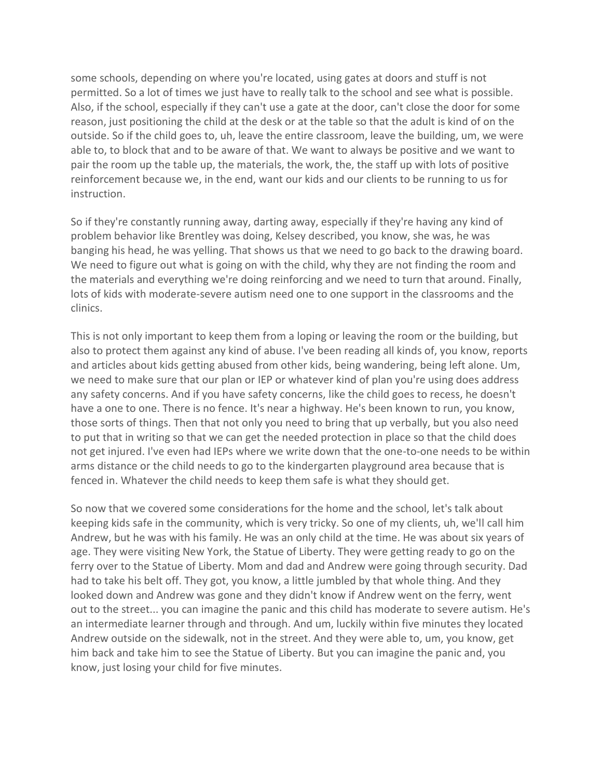some schools, depending on where you're located, using gates at doors and stuff is not permitted. So a lot of times we just have to really talk to the school and see what is possible. Also, if the school, especially if they can't use a gate at the door, can't close the door for some reason, just positioning the child at the desk or at the table so that the adult is kind of on the outside. So if the child goes to, uh, leave the entire classroom, leave the building, um, we were able to, to block that and to be aware of that. We want to always be positive and we want to pair the room up the table up, the materials, the work, the, the staff up with lots of positive reinforcement because we, in the end, want our kids and our clients to be running to us for instruction.

So if they're constantly running away, darting away, especially if they're having any kind of problem behavior like Brentley was doing, Kelsey described, you know, she was, he was banging his head, he was yelling. That shows us that we need to go back to the drawing board. We need to figure out what is going on with the child, why they are not finding the room and the materials and everything we're doing reinforcing and we need to turn that around. Finally, lots of kids with moderate-severe autism need one to one support in the classrooms and the clinics.

This is not only important to keep them from a loping or leaving the room or the building, but also to protect them against any kind of abuse. I've been reading all kinds of, you know, reports and articles about kids getting abused from other kids, being wandering, being left alone. Um, we need to make sure that our plan or IEP or whatever kind of plan you're using does address any safety concerns. And if you have safety concerns, like the child goes to recess, he doesn't have a one to one. There is no fence. It's near a highway. He's been known to run, you know, those sorts of things. Then that not only you need to bring that up verbally, but you also need to put that in writing so that we can get the needed protection in place so that the child does not get injured. I've even had IEPs where we write down that the one-to-one needs to be within arms distance or the child needs to go to the kindergarten playground area because that is fenced in. Whatever the child needs to keep them safe is what they should get.

So now that we covered some considerations for the home and the school, let's talk about keeping kids safe in the community, which is very tricky. So one of my clients, uh, we'll call him Andrew, but he was with his family. He was an only child at the time. He was about six years of age. They were visiting New York, the Statue of Liberty. They were getting ready to go on the ferry over to the Statue of Liberty. Mom and dad and Andrew were going through security. Dad had to take his belt off. They got, you know, a little jumbled by that whole thing. And they looked down and Andrew was gone and they didn't know if Andrew went on the ferry, went out to the street... you can imagine the panic and this child has moderate to severe autism. He's an intermediate learner through and through. And um, luckily within five minutes they located Andrew outside on the sidewalk, not in the street. And they were able to, um, you know, get him back and take him to see the Statue of Liberty. But you can imagine the panic and, you know, just losing your child for five minutes.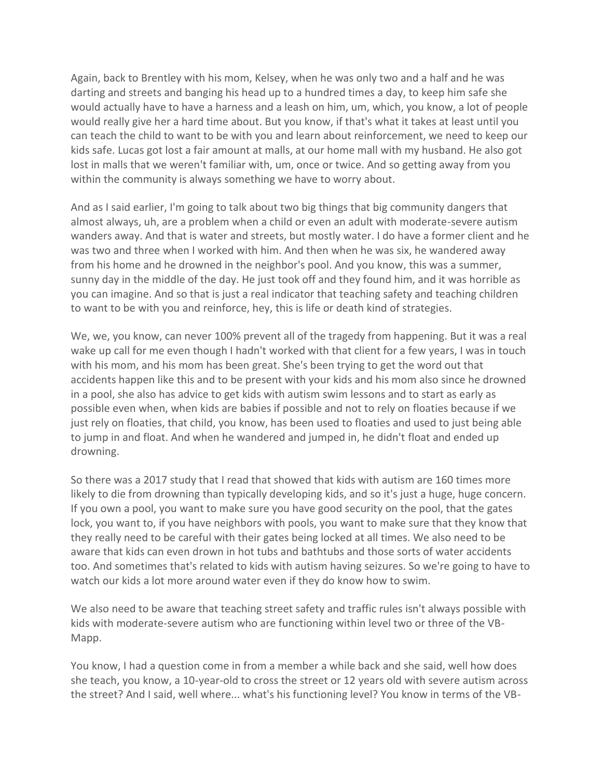Again, back to Brentley with his mom, Kelsey, when he was only two and a half and he was darting and streets and banging his head up to a hundred times a day, to keep him safe she would actually have to have a harness and a leash on him, um, which, you know, a lot of people would really give her a hard time about. But you know, if that's what it takes at least until you can teach the child to want to be with you and learn about reinforcement, we need to keep our kids safe. Lucas got lost a fair amount at malls, at our home mall with my husband. He also got lost in malls that we weren't familiar with, um, once or twice. And so getting away from you within the community is always something we have to worry about.

And as I said earlier, I'm going to talk about two big things that big community dangers that almost always, uh, are a problem when a child or even an adult with moderate-severe autism wanders away. And that is water and streets, but mostly water. I do have a former client and he was two and three when I worked with him. And then when he was six, he wandered away from his home and he drowned in the neighbor's pool. And you know, this was a summer, sunny day in the middle of the day. He just took off and they found him, and it was horrible as you can imagine. And so that is just a real indicator that teaching safety and teaching children to want to be with you and reinforce, hey, this is life or death kind of strategies.

We, we, you know, can never 100% prevent all of the tragedy from happening. But it was a real wake up call for me even though I hadn't worked with that client for a few years, I was in touch with his mom, and his mom has been great. She's been trying to get the word out that accidents happen like this and to be present with your kids and his mom also since he drowned in a pool, she also has advice to get kids with autism swim lessons and to start as early as possible even when, when kids are babies if possible and not to rely on floaties because if we just rely on floaties, that child, you know, has been used to floaties and used to just being able to jump in and float. And when he wandered and jumped in, he didn't float and ended up drowning.

So there was a 2017 study that I read that showed that kids with autism are 160 times more likely to die from drowning than typically developing kids, and so it's just a huge, huge concern. If you own a pool, you want to make sure you have good security on the pool, that the gates lock, you want to, if you have neighbors with pools, you want to make sure that they know that they really need to be careful with their gates being locked at all times. We also need to be aware that kids can even drown in hot tubs and bathtubs and those sorts of water accidents too. And sometimes that's related to kids with autism having seizures. So we're going to have to watch our kids a lot more around water even if they do know how to swim.

We also need to be aware that teaching street safety and traffic rules isn't always possible with kids with moderate-severe autism who are functioning within level two or three of the VB-Mapp.

You know, I had a question come in from a member a while back and she said, well how does she teach, you know, a 10-year-old to cross the street or 12 years old with severe autism across the street? And I said, well where... what's his functioning level? You know in terms of the VB-